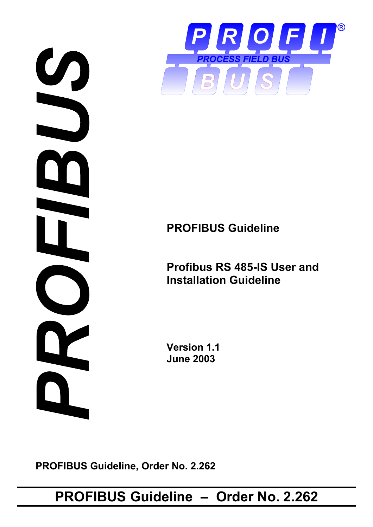



# **PROFIBUS Guideline**

# **Profibus RS 485-IS User and Installation Guideline**

**Version 1.1 June 2003** 

**PROFIBUS Guideline, Order No. 2.262** 

# **PROFIBUS Guideline – Order No. 2.262**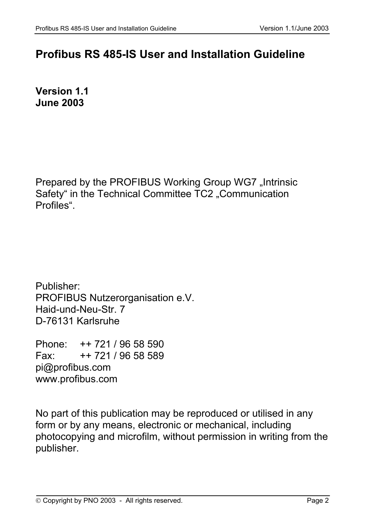# **Profibus RS 485-IS User and Installation Guideline**

## **Version 1.1 June 2003**

Prepared by the PROFIBUS Working Group WG7 "Intrinsic Safety" in the Technical Committee TC2 "Communication Profiles".

Publisher: PROFIBUS Nutzerorganisation e.V. Haid-und-Neu-Str. 7 D-76131 Karlsruhe

Phone: ++ 721 / 96 58 590 Fax: ++ 721 / 96 58 589 pi@profibus.com www.profibus.com

No part of this publication may be reproduced or utilised in any form or by any means, electronic or mechanical, including photocopying and microfilm, without permission in writing from the publisher.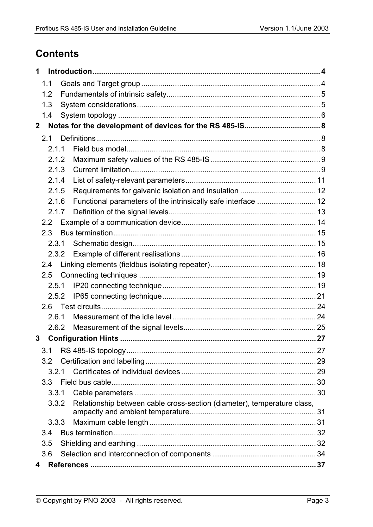# **Contents**

| 1            |     |       |                                                                         |  |
|--------------|-----|-------|-------------------------------------------------------------------------|--|
|              | 1.1 |       |                                                                         |  |
|              | 1.2 |       |                                                                         |  |
|              | 1.3 |       |                                                                         |  |
|              | 1.4 |       |                                                                         |  |
| $\mathbf{2}$ |     |       |                                                                         |  |
|              | 2.1 |       |                                                                         |  |
|              |     | 2.1.1 |                                                                         |  |
|              |     | 2.1.2 |                                                                         |  |
|              |     | 2.1.3 |                                                                         |  |
|              |     | 2.1.4 |                                                                         |  |
|              |     | 2.1.5 |                                                                         |  |
|              |     | 2.1.6 |                                                                         |  |
|              |     | 2.1.7 |                                                                         |  |
|              | 2.2 |       |                                                                         |  |
|              | 2.3 |       |                                                                         |  |
|              |     | 2.3.1 |                                                                         |  |
|              |     | 2.3.2 |                                                                         |  |
|              | 2.4 |       |                                                                         |  |
|              | 2.5 |       |                                                                         |  |
|              |     | 2.5.1 |                                                                         |  |
|              |     | 2.5.2 |                                                                         |  |
|              |     |       |                                                                         |  |
|              |     | 2.6.1 |                                                                         |  |
|              |     | 2.6.2 |                                                                         |  |
| 3            |     |       |                                                                         |  |
|              | 3.1 |       |                                                                         |  |
|              | 3.2 |       |                                                                         |  |
|              |     | 3.2.1 |                                                                         |  |
|              | 3.3 |       |                                                                         |  |
|              |     | 3.3.1 |                                                                         |  |
|              |     | 3.3.2 | Relationship between cable cross-section (diameter), temperature class, |  |
|              |     |       |                                                                         |  |
|              |     | 3.3.3 |                                                                         |  |
|              | 3.4 |       |                                                                         |  |
|              | 3.5 |       |                                                                         |  |
|              | 3.6 |       |                                                                         |  |
| 4            |     |       |                                                                         |  |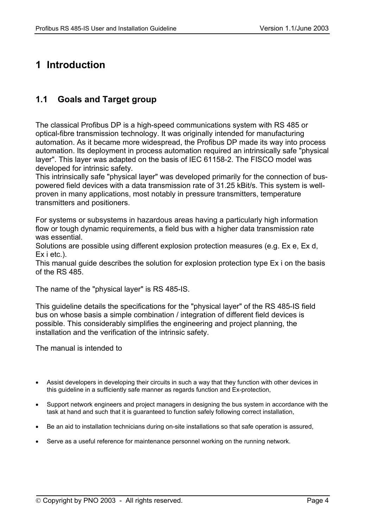## <span id="page-3-0"></span>**1 Introduction**

### **1.1 Goals and Target group**

The classical Profibus DP is a high-speed communications system with RS 485 or optical-fibre transmission technology. It was originally intended for manufacturing automation. As it became more widespread, the Profibus DP made its way into process automation. Its deployment in process automation required an intrinsically safe "physical layer". This layer was adapted on the basis of IEC 61158-2. The FISCO model was developed for intrinsic safety.

This intrinsically safe "physical layer" was developed primarily for the connection of buspowered field devices with a data transmission rate of 31.25 kBit/s. This system is wellproven in many applications, most notably in pressure transmitters, temperature transmitters and positioners.

For systems or subsystems in hazardous areas having a particularly high information flow or tough dynamic requirements, a field bus with a higher data transmission rate was essential

Solutions are possible using different explosion protection measures (e.g. Ex e, Ex d, Ex i etc.).

This manual guide describes the solution for explosion protection type Ex i on the basis of the RS 485.

The name of the "physical layer" is RS 485-IS.

This guideline details the specifications for the "physical layer" of the RS 485-IS field bus on whose basis a simple combination / integration of different field devices is possible. This considerably simplifies the engineering and project planning, the installation and the verification of the intrinsic safety.

The manual is intended to

- Assist developers in developing their circuits in such a way that they function with other devices in this guideline in a sufficiently safe manner as regards function and Ex-protection,
- Support network engineers and project managers in designing the bus system in accordance with the task at hand and such that it is guaranteed to function safely following correct installation,
- Be an aid to installation technicians during on-site installations so that safe operation is assured,
- Serve as a useful reference for maintenance personnel working on the running network.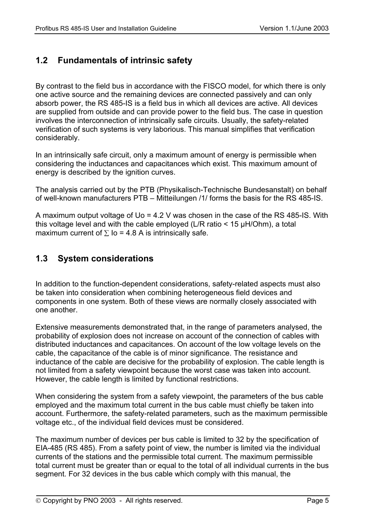### <span id="page-4-0"></span>**1.2 Fundamentals of intrinsic safety**

By contrast to the field bus in accordance with the FISCO model, for which there is only one active source and the remaining devices are connected passively and can only absorb power, the RS 485-IS is a field bus in which all devices are active. All devices are supplied from outside and can provide power to the field bus. The case in question involves the interconnection of intrinsically safe circuits. Usually, the safety-related verification of such systems is very laborious. This manual simplifies that verification considerably.

In an intrinsically safe circuit, only a maximum amount of energy is permissible when considering the inductances and capacitances which exist. This maximum amount of energy is described by the ignition curves.

The analysis carried out by the PTB (Physikalisch-Technische Bundesanstalt) on behalf of well-known manufacturers PTB – Mitteilungen /1/ forms the basis for the RS 485-IS.

A maximum output voltage of Uo = 4.2 V was chosen in the case of the RS 485-IS. With this voltage level and with the cable employed (L/R ratio < 15 µH/Ohm), a total maximum current of  $\Sigma$  Io = 4.8 A is intrinsically safe.

#### **1.3 System considerations**

In addition to the function-dependent considerations, safety-related aspects must also be taken into consideration when combining heterogeneous field devices and components in one system. Both of these views are normally closely associated with one another.

Extensive measurements demonstrated that, in the range of parameters analysed, the probability of explosion does not increase on account of the connection of cables with distributed inductances and capacitances. On account of the low voltage levels on the cable, the capacitance of the cable is of minor significance. The resistance and inductance of the cable are decisive for the probability of explosion. The cable length is not limited from a safety viewpoint because the worst case was taken into account. However, the cable length is limited by functional restrictions.

When considering the system from a safety viewpoint, the parameters of the bus cable employed and the maximum total current in the bus cable must chiefly be taken into account. Furthermore, the safety-related parameters, such as the maximum permissible voltage etc., of the individual field devices must be considered.

The maximum number of devices per bus cable is limited to 32 by the specification of EIA-485 (RS 485). From a safety point of view, the number is limited via the individual currents of the stations and the permissible total current. The maximum permissible total current must be greater than or equal to the total of all individual currents in the bus segment. For 32 devices in the bus cable which comply with this manual, the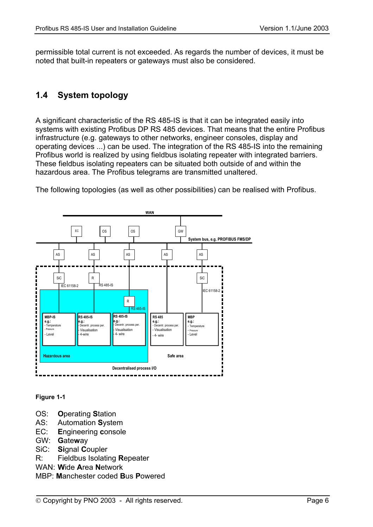<span id="page-5-0"></span>permissible total current is not exceeded. As regards the number of devices, it must be noted that built-in repeaters or gateways must also be considered.

### **1.4 System topology**

A significant characteristic of the RS 485-IS is that it can be integrated easily into systems with existing Profibus DP RS 485 devices. That means that the entire Profibus infrastructure (e.g. gateways to other networks, engineer consoles, display and operating devices ...) can be used. The integration of the RS 485-IS into the remaining Profibus world is realized by using fieldbus isolating repeater with integrated barriers. These fieldbus isolating repeaters can be situated both outside of and within the hazardous area. The Profibus telegrams are transmitted unaltered.

The following topologies (as well as other possibilities) can be realised with Profibus.



#### **Figure 1-1**

- OS: **O**perating **S**tation
- AS: Automation **S**ystem
- EC: **E**ngineering **c**onsole
- GW: **G**ate**w**ay
- SiC: **Si**gnal **C**oupler
- R: Fieldbus Isolating **R**epeater
- WAN: **W**ide **A**rea **N**etwork
- MBP: **M**anchester coded **B**us **P**owered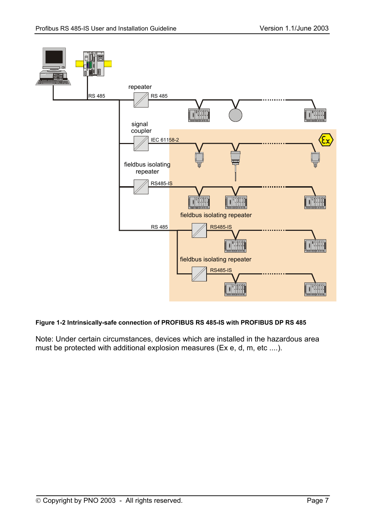

#### **Figure 1-2 Intrinsically-safe connection of PROFIBUS RS 485-IS with PROFIBUS DP RS 485**

Note: Under certain circumstances, devices which are installed in the hazardous area must be protected with additional explosion measures (Ex e, d, m, etc ....).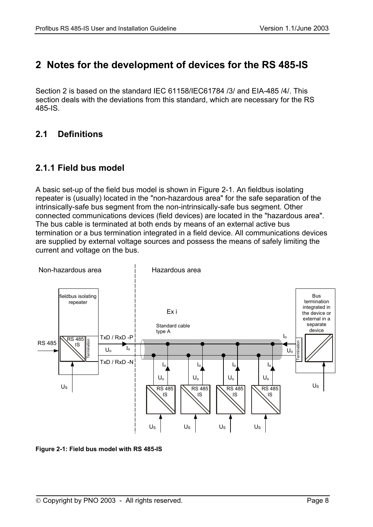## <span id="page-7-0"></span>**2 Notes for the development of devices for the RS 485-IS**

Section 2 is based on the standard IEC 61158/IEC61784 /3/ and EIA-485 /4/. This section deals with the deviations from this standard, which are necessary for the RS 485-IS.

#### **2.1 Definitions**

#### **2.1.1 Field bus model**

A basic set-up of the field bus model is shown in Figure 2-1. An fieldbus isolating repeater is (usually) located in the "non-hazardous area" for the safe separation of the intrinsically-safe bus segment from the non-intrinsically-safe bus segment. Other connected communications devices (field devices) are located in the "hazardous area". The bus cable is terminated at both ends by means of an external active bus termination or a bus termination integrated in a field device. All communications devices are supplied by external voltage sources and possess the means of safely limiting the current and voltage on the bus.



**Figure 2-1: Field bus model with RS 485-IS**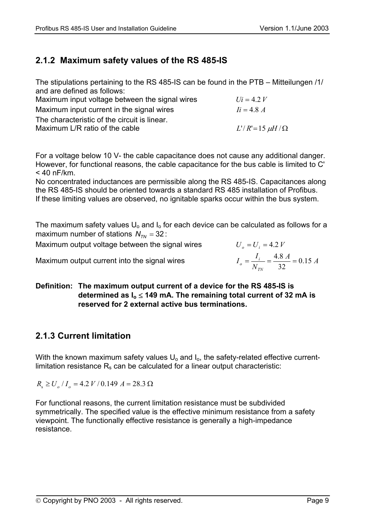### <span id="page-8-0"></span>**2.1.2 Maximum safety values of the RS 485-IS**

The stipulations pertaining to the RS 485-IS can be found in the PTB – Mitteilungen /1/ and are defined as follows:

| Maximum input voltage between the signal wires | $U_i = 4.2 V$             |
|------------------------------------------------|---------------------------|
| Maximum input current in the signal wires      | $I_i = 4.8$ A             |
| The characteristic of the circuit is linear.   |                           |
| Maximum L/R ratio of the cable                 | $L'/R' = 15 \mu H/\Omega$ |

For a voltage below 10 V- the cable capacitance does not cause any additional danger. However, for functional reasons, the cable capacitance for the bus cable is limited to C'  $<$  40 nF/km.

No concentrated inductances are permissible along the RS 485-IS. Capacitances along the RS 485-IS should be oriented towards a standard RS 485 installation of Profibus. If these limiting values are observed, no ignitable sparks occur within the bus system.

The maximum safety values  $U_0$  and  $I_0$  for each device can be calculated as follows for a maximum number of stations  $N_{\tau N} = 32$ :

Maximum output voltage between the signal wires  $U_a = U_i = 4.2 V$ 

Maximum output current into the signal wires

$$
U_o = U_i = 4.2 V
$$
  

$$
I_o = \frac{I_i}{N_{T N}} = \frac{4.8 A}{32} = 0.15 A
$$

**Definition: The maximum output current of a device for the RS 485-IS is determined as Io** ≤ **149 mA. The remaining total current of 32 mA is reserved for 2 external active bus terminations.** 

### **2.1.3 Current limitation**

With the known maximum safety values  $U_0$  and  $I_0$ , the safety-related effective currentlimitation resistance  $R_s$  can be calculated for a linear output characteristic:

 $R_s \ge U_o / I_o = 4.2 V / 0.149 A = 28.3 \Omega$ 

For functional reasons, the current limitation resistance must be subdivided symmetrically. The specified value is the effective minimum resistance from a safety viewpoint. The functionally effective resistance is generally a high-impedance resistance.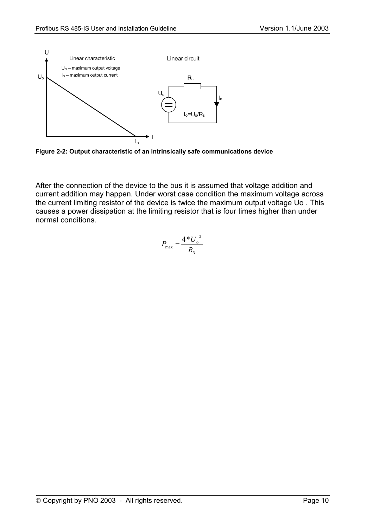

**Figure 2-2: Output characteristic of an intrinsically safe communications device** 

After the connection of the device to the bus it is assumed that voltage addition and current addition may happen. Under worst case condition the maximum voltage across the current limiting resistor of the device is twice the maximum output voltage Uo . This causes a power dissipation at the limiting resistor that is four times higher than under normal conditions.

$$
P_{\text{max}} = \frac{4 \cdot U_o^2}{R_S}
$$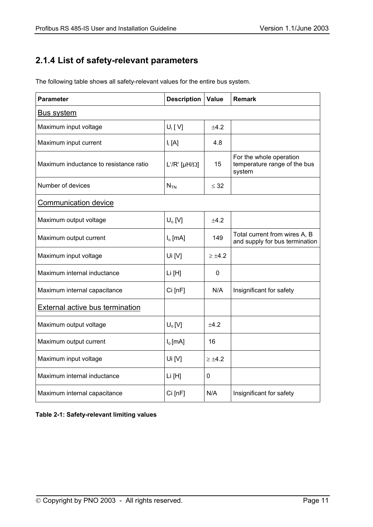## <span id="page-10-0"></span>**2.1.4 List of safety-relevant parameters**

| The following table shows all safety-relevant values for the entire bus system. |  |  |  |  |
|---------------------------------------------------------------------------------|--|--|--|--|
|                                                                                 |  |  |  |  |
|                                                                                 |  |  |  |  |

| <b>Parameter</b>                       | <b>Description</b>         | Value            | <b>Remark</b>                                                     |
|----------------------------------------|----------------------------|------------------|-------------------------------------------------------------------|
| <b>Bus system</b>                      |                            |                  |                                                                   |
| Maximum input voltage                  | $U_i$ [ V]                 | ±4.2             |                                                                   |
| Maximum input current                  | $I_i[A]$                   | 4.8              |                                                                   |
| Maximum inductance to resistance ratio | $L'/R'$ [ $\mu H/\Omega$ ] | 15               | For the whole operation<br>temperature range of the bus<br>system |
| Number of devices                      | $N_{TN}$                   | $\leq$ 32        |                                                                   |
| <b>Communication device</b>            |                            |                  |                                                                   |
| Maximum output voltage                 | $U_{o}$ [V]                | ±4.2             |                                                                   |
| Maximum output current                 | $I_0$ [mA]                 | 149              | Total current from wires A, B<br>and supply for bus termination   |
| Maximum input voltage                  | Ui [V]                     | $\geq$ $\pm$ 4.2 |                                                                   |
| Maximum internal inductance            | Li[H]                      | 0                |                                                                   |
| Maximum internal capacitance           | Ci [nF]                    | N/A              | Insignificant for safety                                          |
| External active bus termination        |                            |                  |                                                                   |
| Maximum output voltage                 | $U_0$ [V]                  | ±4.2             |                                                                   |
| Maximum output current                 | $I_0$ [mA]                 | 16               |                                                                   |
| Maximum input voltage                  | Ui $[V]$                   | $\geq \pm 4.2$   |                                                                   |
| Maximum internal inductance            | Li[H]                      | 0                |                                                                   |
| Maximum internal capacitance           | Ci [nF]                    | N/A              | Insignificant for safety                                          |

**Table 2-1: Safety-relevant limiting values**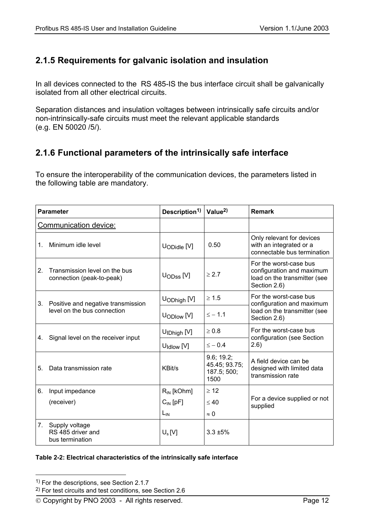### <span id="page-11-0"></span>**2.1.5 Requirements for galvanic isolation and insulation**

In all devices connected to the RS 485-IS the bus interface circuit shall be galvanically isolated from all other electrical circuits.

Separation distances and insulation voltages between intrinsically safe circuits and/or non-intrinsically-safe circuits must meet the relevant applicable standards (e.g. EN 50020 /5/).

### **2.1.6 Functional parameters of the intrinsically safe interface**

To ensure the interoperability of the communication devices, the parameters listed in the following table are mandatory.

|                | <b>Parameter</b>                                           | Description <sup>1)</sup> | Value <sup>2</sup>                                 | <b>Remark</b>                                                                                       |
|----------------|------------------------------------------------------------|---------------------------|----------------------------------------------------|-----------------------------------------------------------------------------------------------------|
|                | Communication device:                                      |                           |                                                    |                                                                                                     |
| $1_{-}$        | Minimum idle level                                         | UODidle [V]               | 0.50                                               | Only relevant for devices<br>with an integrated or a<br>connectable bus termination                 |
| 2 <sub>1</sub> | Transmission level on the bus<br>connection (peak-to-peak) | $UODss$ [V]               | > 2.7                                              | For the worst-case bus<br>configuration and maximum<br>load on the transmitter (see<br>Section 2.6) |
|                | 3. Positive and negative transmission                      | $U_{ODhigh}$ [V]          | $\geq 1.5$                                         | For the worst-case bus<br>configuration and maximum                                                 |
|                | level on the bus connection                                | $U_{ODlow}$ [V]           | $\le -1.1$                                         | load on the transmitter (see<br>Section 2.6)                                                        |
| 4.             | Signal level on the receiver input                         | $UIDhigh$ [V]             | $\geq 0.8$                                         | For the worst-case bus<br>configuration (see Section                                                |
|                |                                                            | $U_{\text{Idlow}}$ [V]    | $\leq$ - 0.4                                       | (2.6)                                                                                               |
| 5.             | Data transmission rate                                     | KBit/s                    | 9.6; 19.2;<br>45.45; 93.75;<br>187.5; 500;<br>1500 | A field device can be<br>designed with limited data<br>transmission rate                            |
| 6.             | Input impedance                                            | $R_{IN}$ [kOhm]           | $\geq$ 12                                          |                                                                                                     |
|                | (receiver)                                                 | $C_{\text{IN}}$ [pF]      | $\leq 40$                                          | For a device supplied or not<br>supplied                                                            |
|                |                                                            | $L_{IN}$                  | $\approx 0$                                        |                                                                                                     |
| 7.             | Supply voltage<br>RS 485 driver and<br>bus termination     | $U_s$ [V]                 | $3.3 + 5%$                                         |                                                                                                     |

#### **Table 2-2: Electrical characteristics of the intrinsically safe interface**

<span id="page-11-1"></span> <sup>1)</sup> For the descriptions, see Section 2.1.7

<span id="page-11-2"></span><sup>2)</sup> For test circuits and test conditions, see Section 2.6

<sup>©</sup> Copyright by PNO 2003 - All rights reserved.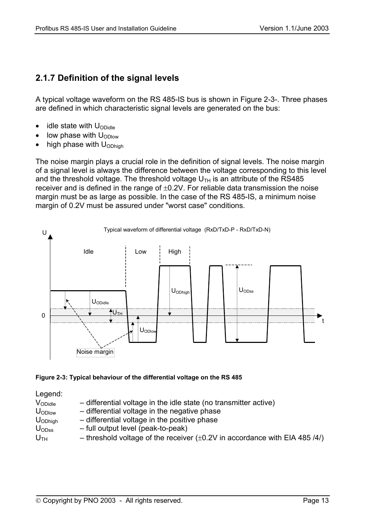### <span id="page-12-0"></span>**2.1.7 Definition of the signal levels**

A typical voltage waveform on the RS 485-IS bus is shown in Figure 2-3-. Three phases are defined in which characteristic signal levels are generated on the bus:

- $\bullet$  idle state with  $U_{\text{ODidle}}$
- low phase with  $U_{ODlow}$
- high phase with U<sub>ODhigh</sub>

The noise margin plays a crucial role in the definition of signal levels. The noise margin of a signal level is always the difference between the voltage corresponding to this level and the threshold voltage. The threshold voltage  $U_{TH}$  is an attribute of the RS485 receiver and is defined in the range of  $\pm 0.2V$ . For reliable data transmission the noise margin must be as large as possible. In the case of the RS 485-IS, a minimum noise margin of 0.2V must be assured under "worst case" conditions.





| Legend:             |                                                                                  |
|---------------------|----------------------------------------------------------------------------------|
| VoDidle             | - differential voltage in the idle state (no transmitter active)                 |
| $U_{ODlow}$         | - differential voltage in the negative phase                                     |
| U <sub>ODhigh</sub> | - differential voltage in the positive phase                                     |
| $U_{\text{ODss}}$   | - full output level (peak-to-peak)                                               |
| $U$ <sub>TH</sub>   | - threshold voltage of the receiver $(\pm 0.2V)$ in accordance with EIA 485 /4/) |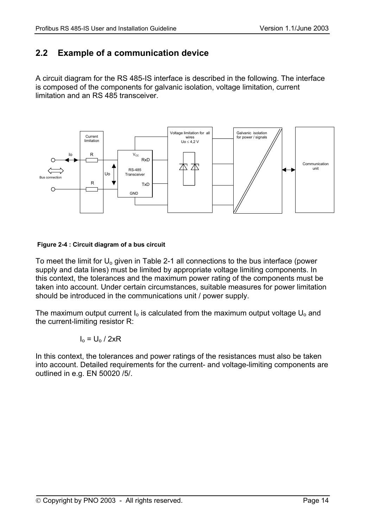### <span id="page-13-0"></span>**2.2 Example of a communication device**

A circuit diagram for the RS 485-IS interface is described in the following. The interface is composed of the components for galvanic isolation, voltage limitation, current limitation and an RS 485 transceiver.



#### **Figure 2-4 : Circuit diagram of a bus circuit**

To meet the limit for  $U_0$  given in Table 2-1 all connections to the bus interface (power supply and data lines) must be limited by appropriate voltage limiting components. In this context, the tolerances and the maximum power rating of the components must be taken into account. Under certain circumstances, suitable measures for power limitation should be introduced in the communications unit / power supply.

The maximum output current  $I_0$  is calculated from the maximum output voltage  $U_0$  and the current-limiting resistor R:

$$
I_o = U_o / 2xR
$$

In this context, the tolerances and power ratings of the resistances must also be taken into account. Detailed requirements for the current- and voltage-limiting components are outlined in e.g. EN 50020 /5/.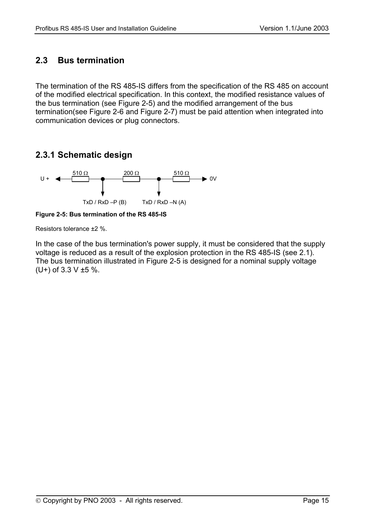### <span id="page-14-0"></span>**2.3 Bus termination**

The termination of the RS 485-IS differs from the specification of the RS 485 on account of the modified electrical specification. In this context, the modified resistance values of the bus termination (see Figure 2-5) and the modified arrangement of the bus termination(see Figure 2-6 and Figure 2-7) must be paid attention when integrated into communication devices or plug connectors.

#### **2.3.1 Schematic design**



**Figure 2-5: Bus termination of the RS 485-IS** 

Resistors tolerance ±2 %.

In the case of the bus termination's power supply, it must be considered that the supply voltage is reduced as a result of the explosion protection in the RS 485-IS (see 2.1). The bus termination illustrated in Figure 2-5 is designed for a nominal supply voltage (U+) of  $3.3 \text{ V} \pm 5 \%$ .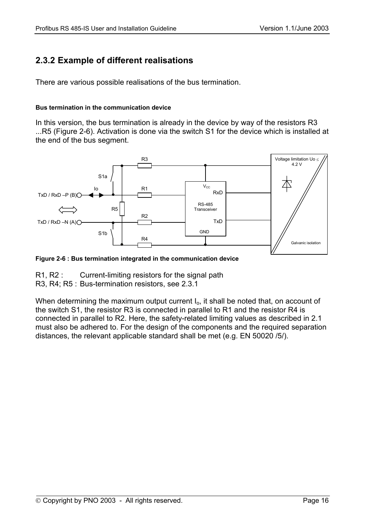### <span id="page-15-0"></span>**2.3.2 Example of different realisations**

There are various possible realisations of the bus termination.

#### **Bus termination in the communication device**

In this version, the bus termination is already in the device by way of the resistors R3 ...R5 (Figure 2-6). Activation is done via the switch S1 for the device which is installed at the end of the bus segment.



**Figure 2-6 : Bus termination integrated in the communication device**

R1, R2 : Current-limiting resistors for the signal path

R3, R4; R5 : Bus-termination resistors, see 2.3.1

When determining the maximum output current I<sub>0</sub>, it shall be noted that, on account of the switch S1, the resistor R3 is connected in parallel to R1 and the resistor R4 is connected in parallel to R2. Here, the safety-related limiting values as described in 2.1 must also be adhered to. For the design of the components and the required separation distances, the relevant applicable standard shall be met (e.g. EN 50020 /5/).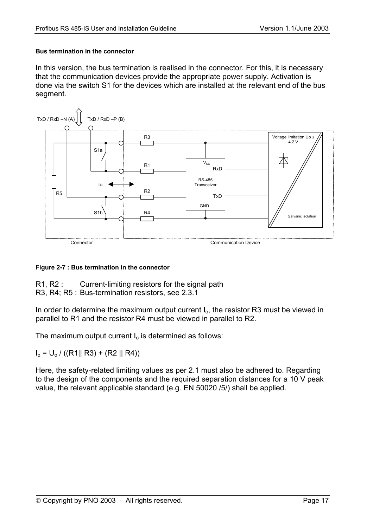#### **Bus termination in the connector**

In this version, the bus termination is realised in the connector. For this, it is necessary that the communication devices provide the appropriate power supply. Activation is done via the switch S1 for the devices which are installed at the relevant end of the bus segment.



#### **Figure 2-7 : Bus termination in the connector**

R1, R2 : Current-limiting resistors for the signal path R3, R4; R5 : Bus-termination resistors, see 2.3.1

In order to determine the maximum output current  $I<sub>o</sub>$ , the resistor R3 must be viewed in parallel to R1 and the resistor R4 must be viewed in parallel to R2.

The maximum output current  $I_0$  is determined as follows:

 $I_0 = U_0 / ((R1 || R3) + (R2 || R4))$ 

Here, the safety-related limiting values as per 2.1 must also be adhered to. Regarding to the design of the components and the required separation distances for a 10 V peak value, the relevant applicable standard (e.g. EN 50020 /5/) shall be applied.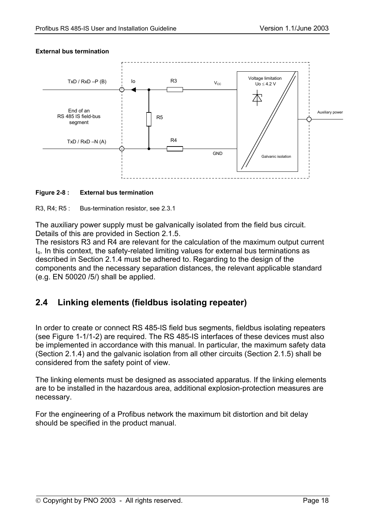

#### <span id="page-17-0"></span>**External bus termination**

#### **Figure 2-8 : External bus termination**

R3, R4; R5 : Bus-termination resistor, see 2.3.1

The auxiliary power supply must be galvanically isolated from the field bus circuit. Details of this are provided in Section 2.1.5.

The resistors R3 and R4 are relevant for the calculation of the maximum output current I<sub>0</sub>. In this context, the safety-related limiting values for external bus terminations as described in Section 2.1.4 must be adhered to. Regarding to the design of the components and the necessary separation distances, the relevant applicable standard (e.g. EN 50020 /5/) shall be applied.

#### **2.4 Linking elements (fieldbus isolating repeater)**

In order to create or connect RS 485-IS field bus segments, fieldbus isolating repeaters (see Figure 1-1/1-2) are required. The RS 485-IS interfaces of these devices must also be implemented in accordance with this manual. In particular, the maximum safety data (Section 2.1.4) and the galvanic isolation from all other circuits (Section 2.1.5) shall be considered from the safety point of view.

The linking elements must be designed as associated apparatus. If the linking elements are to be installed in the hazardous area, additional explosion-protection measures are necessary.

For the engineering of a Profibus network the maximum bit distortion and bit delay should be specified in the product manual.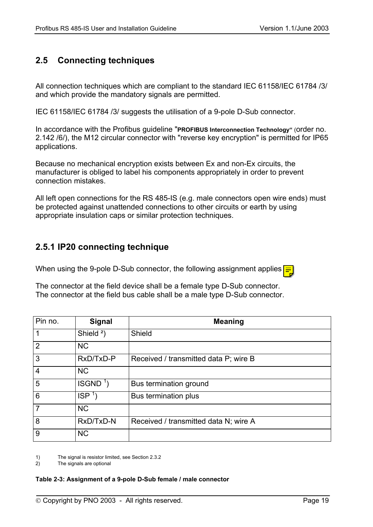### <span id="page-18-0"></span>**2.5 Connecting techniques**

All connection techniques which are compliant to the standard IEC 61158/IEC 61784 /3/ and which provide the mandatory signals are permitted.

IEC 61158/IEC 61784 /3/ suggests the utilisation of a 9-pole D-Sub connector.

In accordance with the Profibus guideline "**PROFIBUS Interconnection Technology"** (order no. 2.142 /6/), the M12 circular connector with "reverse key encryption" is permitted for IP65 applications.

Because no mechanical encryption exists between Ex and non-Ex circuits, the manufacturer is obliged to label his components appropriately in order to prevent connection mistakes.

All left open connections for the RS 485-IS (e.g. male connectors open wire ends) must be protected against unattended connections to other circuits or earth by using appropriate insulation caps or similar protection techniques.

### **2.5.1 IP20 connecting technique**

When using the 9-pole D-Sub connector, the following assignment applies

The connector at the field device shall be a female type D-Sub connector. The connector at the field bus cable shall be a male type D-Sub connector.

| Pin no.         | <b>Signal</b>      | <b>Meaning</b>                        |
|-----------------|--------------------|---------------------------------------|
| $\mathbf 1$     | Shield $2$ )       | Shield                                |
| $\overline{2}$  | <b>NC</b>          |                                       |
| $\overline{3}$  | RxD/TxD-P          | Received / transmitted data P; wire B |
| $\overline{4}$  | <b>NC</b>          |                                       |
| $5\phantom{.0}$ | ISGND <sup>1</sup> | Bus termination ground                |
| $6\phantom{1}6$ | ISP <sup>1</sup>   | Bus termination plus                  |
| $\overline{7}$  | <b>NC</b>          |                                       |
| 8               | RxD/TxD-N          | Received / transmitted data N; wire A |
| 9               | <b>NC</b>          |                                       |

1) The signal is resistor limited, see Section 2.3.2

2) The signals are optional

#### **Table 2-3: Assignment of a 9-pole D-Sub female / male connector**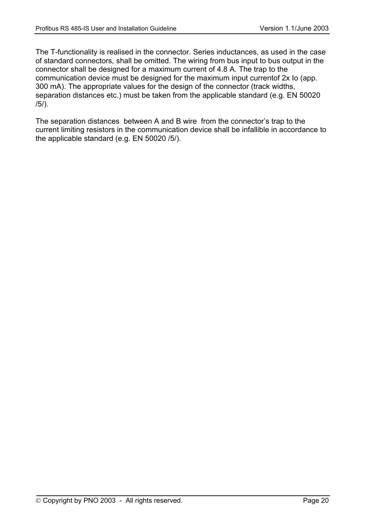The T-functionality is realised in the connector. Series inductances, as used in the case of standard connectors, shall be omitted. The wiring from bus input to bus output in the connector shall be designed for a maximum current of 4.8 A. The trap to the communication device must be designed for the maximum input currentof 2x Io (app. 300 mA). The appropriate values for the design of the connector (track widths, separation distances etc.) must be taken from the applicable standard (e.g. EN 50020 /5/).

The separation distances between A and B wire from the connector's trap to the current limiting resistors in the communication device shall be infallible in accordance to the applicable standard (e.g. EN 50020 /5/).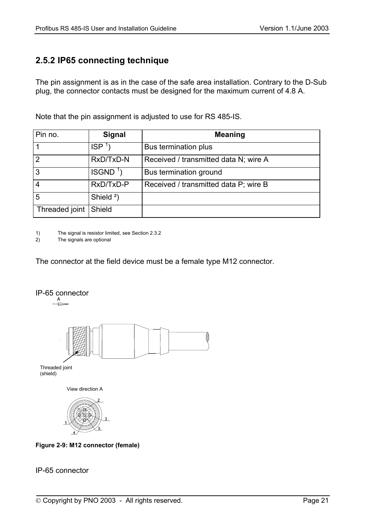### <span id="page-20-0"></span>**2.5.2 IP65 connecting technique**

The pin assignment is as in the case of the safe area installation. Contrary to the D-Sub plug, the connector contacts must be designed for the maximum current of 4.8 A.

Note that the pin assignment is adjusted to use for RS 485-IS.

| Pin no.        | <b>Signal</b>      | <b>Meaning</b>                        |
|----------------|--------------------|---------------------------------------|
|                | <b>ISP</b>         | Bus termination plus                  |
| $\overline{2}$ | RxD/TxD-N          | Received / transmitted data N; wire A |
| $\overline{3}$ | ISGND <sup>1</sup> | Bus termination ground                |
| $\overline{4}$ | RxD/TxD-P          | Received / transmitted data P; wire B |
| 5              | Shield $2$ )       |                                       |
| Threaded joint | Shield             |                                       |

1) The signal is resistor limited, see Section 2.3.2<br>
2) The signals are optional

The signals are optional

The connector at the field device must be a female type M12 connector.



**Figure 2-9: M12 connector (female)** 

IP-65 connector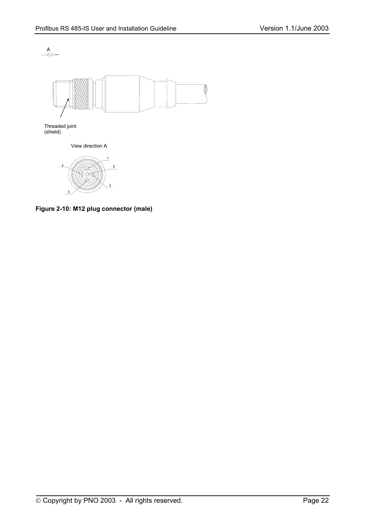

Threaded joint (shield)

View direction A



**Figure 2-10: M12 plug connector (male)**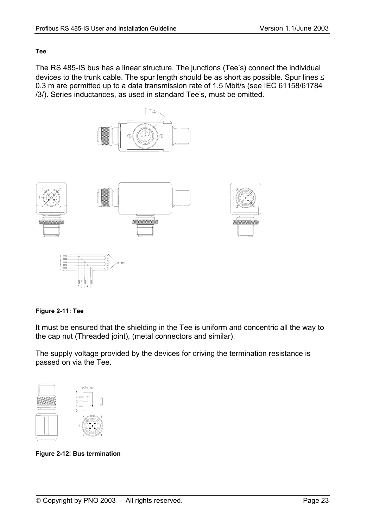#### **Tee**

The RS 485-IS bus has a linear structure. The junctions (Tee's) connect the individual devices to the trunk cable. The spur length should be as short as possible. Spur lines  $\leq$ 0.3 m are permitted up to a data transmission rate of 1.5 Mbit/s (see IEC 61158/61784 /3/). Series inductances, as used in standard Tee's, must be omitted.





**Figure 2-11: Tee** 

It must be ensured that the shielding in the Tee is uniform and concentric all the way to the cap nut (Threaded joint), (metal connectors and similar).

The supply voltage provided by the devices for driving the termination resistance is passed on via the Tee.



**Figure 2-12: Bus termination**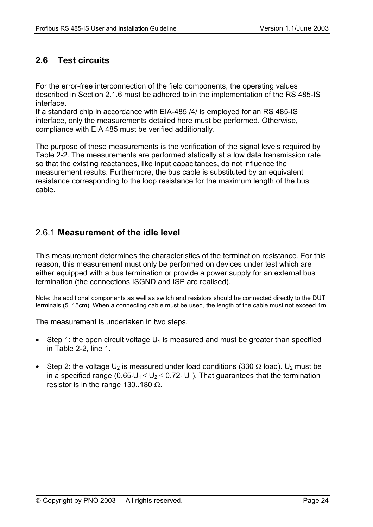### <span id="page-23-0"></span>**2.6 Test circuits**

For the error-free interconnection of the field components, the operating values described in Section 2.1.6 must be adhered to in the implementation of the RS 485-IS interface.

If a standard chip in accordance with EIA-485 /4/ is employed for an RS 485-IS interface, only the measurements detailed here must be performed. Otherwise, compliance with EIA 485 must be verified additionally.

The purpose of these measurements is the verification of the signal levels required by Table 2-2. The measurements are performed statically at a low data transmission rate so that the existing reactances, like input capacitances, do not influence the measurement results. Furthermore, the bus cable is substituted by an equivalent resistance corresponding to the loop resistance for the maximum length of the bus cable.

#### 2.6.1 **Measurement of the idle level**

This measurement determines the characteristics of the termination resistance. For this reason, this measurement must only be performed on devices under test which are either equipped with a bus termination or provide a power supply for an external bus termination (the connections ISGND and ISP are realised).

Note: the additional components as well as switch and resistors should be connected directly to the DUT terminals (5..15cm). When a connecting cable must be used, the length of the cable must not exceed 1m.

The measurement is undertaken in two steps.

- Step 1: the open circuit voltage  $U_1$  is measured and must be greater than specified in Table 2-2, line 1.
- Step 2: the voltage U<sub>2</sub> is measured under load conditions (330  $\Omega$  load). U<sub>2</sub> must be in a specified range (0.65⋅U<sub>1</sub>  $\leq$  U<sub>2</sub>  $\leq$  0.72⋅ U<sub>1</sub>). That guarantees that the termination resistor is in the range 130..180  $Ω$ .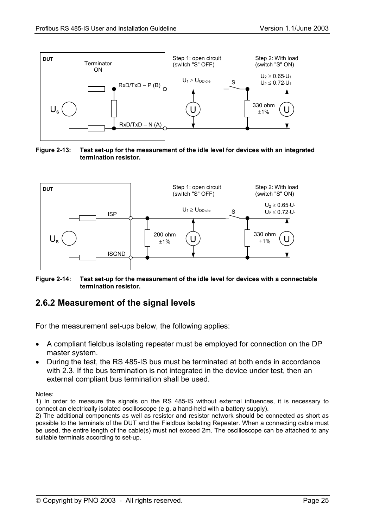<span id="page-24-0"></span>

**Figure 2-13: Test set-up for the measurement of the idle level for devices with an integrated termination resistor.** 



**Figure 2-14: Test set-up for the measurement of the idle level for devices with a connectable termination resistor.** 

#### **2.6.2 Measurement of the signal levels**

For the measurement set-ups below, the following applies:

- A compliant fieldbus isolating repeater must be employed for connection on the DP master system.
- During the test, the RS 485-IS bus must be terminated at both ends in accordance with 2.3. If the bus termination is not integrated in the device under test, then an external compliant bus termination shall be used.

#### Notes:

1) In order to measure the signals on the RS 485-IS without external influences, it is necessary to connect an electrically isolated oscilloscope (e.g. a hand-held with a battery supply).

2) The additional components as well as resistor and resistor network should be connected as short as possible to the terminals of the DUT and the Fieldbus Isolating Repeater. When a connecting cable must be used, the entire length of the cable(s) must not exceed 2m. The oscilloscope can be attached to any suitable terminals according to set-up.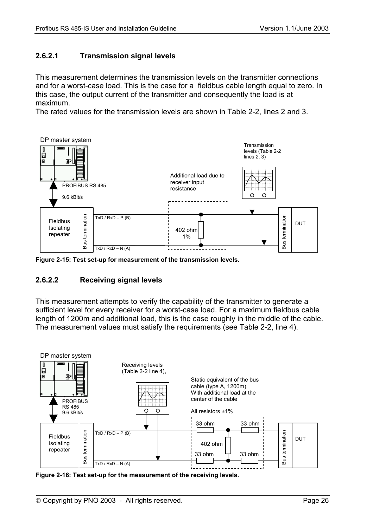#### **2.6.2.1 Transmission signal levels**

This measurement determines the transmission levels on the transmitter connections and for a worst-case load. This is the case for a fieldbus cable length equal to zero. In this case, the output current of the transmitter and consequently the load is at maximum.

The rated values for the transmission levels are shown in Table 2-2, lines 2 and 3.



**Figure 2-15: Test set-up for measurement of the transmission levels.** 

#### **2.6.2.2 Receiving signal levels**

This measurement attempts to verify the capability of the transmitter to generate a sufficient level for every receiver for a worst-case load. For a maximum fieldbus cable length of 1200m and additional load, this is the case roughly in the middle of the cable. The measurement values must satisfy the requirements (see Table 2-2, line 4).



**Figure 2-16: Test set-up for the measurement of the receiving levels.**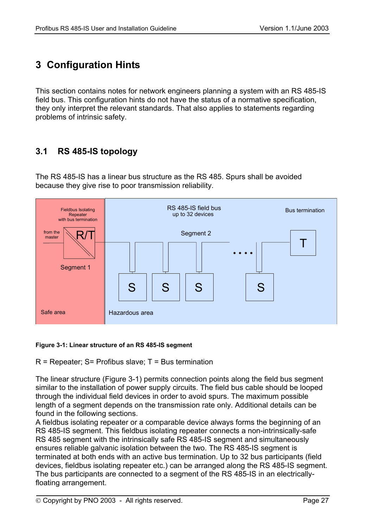# <span id="page-26-0"></span>**3 Configuration Hints**

This section contains notes for network engineers planning a system with an RS 485-IS field bus. This configuration hints do not have the status of a normative specification, they only interpret the relevant standards. That also applies to statements regarding problems of intrinsic safety.

### **3.1 RS 485-IS topology**

The RS 485-IS has a linear bus structure as the RS 485. Spurs shall be avoided because they give rise to poor transmission reliability.



#### <span id="page-26-1"></span>**Figure 3-1: Linear structure of an RS 485-IS segment**

 $R$  = Repeater; S= Profibus slave; T = Bus termination

The linear structure [\(Figure 3-1\)](#page-26-1) permits connection points along the field bus segment similar to the installation of power supply circuits. The field bus cable should be looped through the individual field devices in order to avoid spurs. The maximum possible length of a segment depends on the transmission rate only. Additional details can be found in the following sections.

A fieldbus isolating repeater or a comparable device always forms the beginning of an RS 485-IS segment. This fieldbus isolating repeater connects a non-intrinsically-safe RS 485 segment with the intrinsically safe RS 485-IS segment and simultaneously ensures reliable galvanic isolation between the two. The RS 485-IS segment is terminated at both ends with an active bus termination. Up to 32 bus participants (field devices, fieldbus isolating repeater etc.) can be arranged along the RS 485-IS segment. The bus participants are connected to a segment of the RS 485-IS in an electricallyfloating arrangement.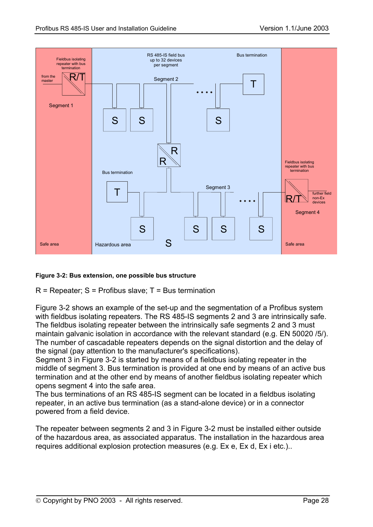

#### **Figure 3-2: Bus extension, one possible bus structure**

#### $R$  = Repeater; S = Profibus slave; T = Bus termination

Figure 3-2 shows an example of the set-up and the segmentation of a Profibus system with fieldbus isolating repeaters. The RS 485-IS segments 2 and 3 are intrinsically safe. The fieldbus isolating repeater between the intrinsically safe segments 2 and 3 must maintain galvanic isolation in accordance with the relevant standard (e.g. EN 50020 /5/). The number of cascadable repeaters depends on the signal distortion and the delay of the signal (pay attention to the manufacturer's specifications).

Segment 3 in Figure 3-2 is started by means of a fieldbus isolating repeater in the middle of segment 3. Bus termination is provided at one end by means of an active bus termination and at the other end by means of another fieldbus isolating repeater which opens segment 4 into the safe area.

The bus terminations of an RS 485-IS segment can be located in a fieldbus isolating repeater, in an active bus termination (as a stand-alone device) or in a connector powered from a field device.

The repeater between segments 2 and 3 in Figure 3-2 must be installed either outside of the hazardous area, as associated apparatus. The installation in the hazardous area requires additional explosion protection measures (e.g. Ex e, Ex d, Ex i etc.)..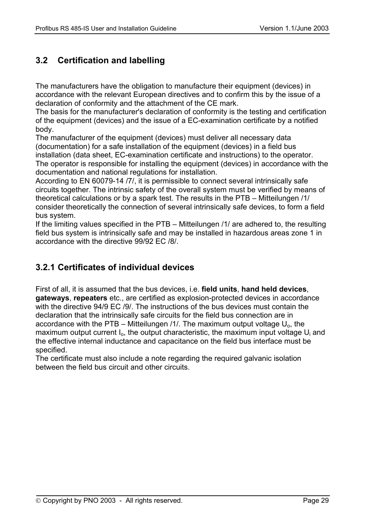### <span id="page-28-0"></span>**3.2 Certification and labelling**

The manufacturers have the obligation to manufacture their equipment (devices) in accordance with the relevant European directives and to confirm this by the issue of a declaration of conformity and the attachment of the CE mark.

The basis for the manufacturer's declaration of conformity is the testing and certification of the equipment (devices) and the issue of a EC-examination certificate by a notified body.

The manufacturer of the equipment (devices) must deliver all necessary data (documentation) for a safe installation of the equipment (devices) in a field bus installation (data sheet, EC-examination certificate and instructions) to the operator. The operator is responsible for installing the equipment (devices) in accordance with the documentation and national regulations for installation.

According to EN 60079-14 /7/, it is permissible to connect several intrinsically safe circuits together. The intrinsic safety of the overall system must be verified by means of theoretical calculations or by a spark test. The results in the PTB – Mitteilungen /1/ consider theoretically the connection of several intrinsically safe devices, to form a field bus system.

If the limiting values specified in the PTB – Mitteilungen /1/ are adhered to, the resulting field bus system is intrinsically safe and may be installed in hazardous areas zone 1 in accordance with the directive 99/92 EC /8/.

### **3.2.1 Certificates of individual devices**

First of all, it is assumed that the bus devices, i.e. **field units**, **hand held devices**, **gateways**, **repeaters** etc., are certified as explosion-protected devices in accordance with the directive 94/9 EC /9/. The instructions of the bus devices must contain the declaration that the intrinsically safe circuits for the field bus connection are in accordance with the PTB – Mitteilungen  $/1/$ . The maximum output voltage  $U_0$ , the maximum output current  $I_0$ , the output characteristic, the maximum input voltage  $U_i$  and the effective internal inductance and capacitance on the field bus interface must be specified.

The certificate must also include a note regarding the required galvanic isolation between the field bus circuit and other circuits.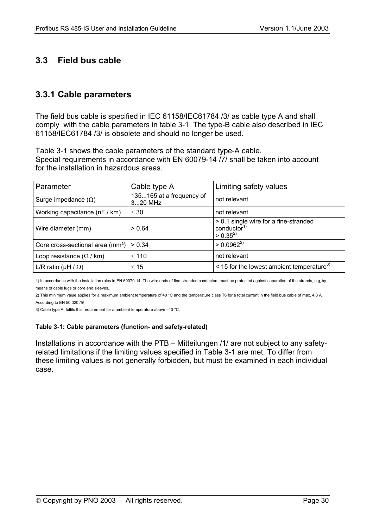### <span id="page-29-0"></span>**3.3 Field bus cable**

#### **3.3.1 Cable parameters**

The field bus cable is specified in IEC 61158/IEC61784 /3/ as cable type A and shall comply with the cable parameters in table 3-1. The type-B cable also described in IEC 61158/IEC61784 /3/ is obsolete and should no longer be used.

Table 3-1 shows the cable parameters of the standard type-A cable. Special requirements in accordance with EN 60079-14 /7/ shall be taken into account for the installation in hazardous areas.

| Parameter                                    | Cable type A                        | Limiting safety values                                                          |
|----------------------------------------------|-------------------------------------|---------------------------------------------------------------------------------|
| Surge impedance $(\Omega)$                   | 135165 at a frequency of<br>320 MHz | not relevant                                                                    |
| Working capacitance (nF / km)                | $\leq 30$                           | not relevant                                                                    |
| Wire diameter (mm)                           | > 0.64                              | > 0.1 single wire for a fine-stranded<br>conductor <sup>1</sup><br>$> 0.35^{2}$ |
| Core cross-sectional area (mm <sup>2</sup> ) | > 0.34                              | $> 0.0962^{2}$                                                                  |
| Loop resistance $(\Omega / km)$              | $\leq 110$                          | not relevant                                                                    |
| L/R ratio ( $\mu$ H / $\Omega$ )             | $\leq 15$                           | $\leq$ 15 for the lowest ambient temperature <sup>3)</sup>                      |

1) In accordance with the installation rules in EN 60079-14. The wire ends of fine-stranded conductors must be protected against separation of the strands, e.g. by means of cable lugs or core end sleeves,.

2) This minimum value applies for a maximum ambient temperature of 40 °C and the temperature class T6 for a total current in the field bus cable of max. 4.8 A. According to EN 50 020 /5/

3) Cable type A fulfils this requirement for a ambient temperature above –40 °C.

#### **Table 3-1: Cable parameters (function- and safety-related)**

Installations in accordance with the PTB – Mitteilungen /1/ are not subject to any safetyrelated limitations if the limiting values specified in Table 3-1 are met. To differ from these limiting values is not generally forbidden, but must be examined in each individual case.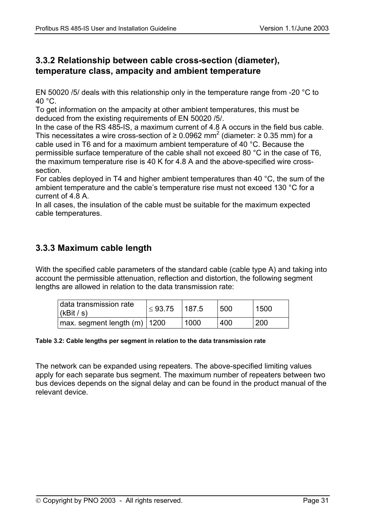#### <span id="page-30-0"></span>**3.3.2 Relationship between cable cross-section (diameter), temperature class, ampacity and ambient temperature**

EN 50020 /5/ deals with this relationship only in the temperature range from -20 °C to  $40 °C$ .

To get information on the ampacity at other ambient temperatures, this must be deduced from the existing requirements of EN 50020 /5/.

In the case of the RS 485-IS, a maximum current of 4.8 A occurs in the field bus cable. This necessitates a wire cross-section of  $\geq 0.0962$  mm<sup>2</sup> (diameter:  $\geq 0.35$  mm) for a cable used in T6 and for a maximum ambient temperature of 40 °C. Because the permissible surface temperature of the cable shall not exceed 80 °C in the case of T6, the maximum temperature rise is 40 K for 4.8 A and the above-specified wire crosssection.

For cables deployed in T4 and higher ambient temperatures than 40 °C, the sum of the ambient temperature and the cable's temperature rise must not exceed 130 °C for a current of 4.8 A.

In all cases, the insulation of the cable must be suitable for the maximum expected cable temperatures.

### **3.3.3 Maximum cable length**

With the specified cable parameters of the standard cable (cable type A) and taking into account the permissible attenuation, reflection and distortion, the following segment lengths are allowed in relation to the data transmission rate:

| data transmission rate<br>(kBit / s)         | $\leq 93.75$ | 187.5 | 500 | 1500 |
|----------------------------------------------|--------------|-------|-----|------|
| $\vert$ max. segment length (m) $\vert$ 1200 |              | 1000  | 400 | 200  |

#### **Table 3.2: Cable lengths per segment in relation to the data transmission rate**

The network can be expanded using repeaters. The above-specified limiting values apply for each separate bus segment. The maximum number of repeaters between two bus devices depends on the signal delay and can be found in the product manual of the relevant device.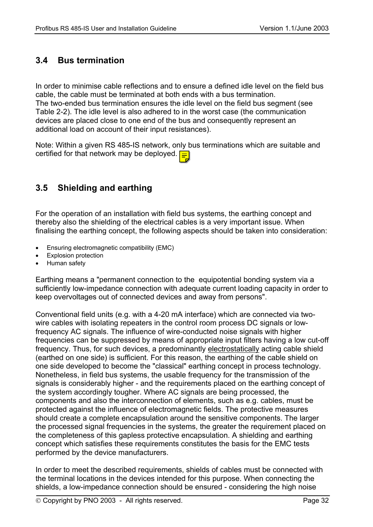### <span id="page-31-0"></span>**3.4 Bus termination**

In order to minimise cable reflections and to ensure a defined idle level on the field bus cable, the cable must be terminated at both ends with a bus termination. The two-ended bus termination ensures the idle level on the field bus segment (see Table 2-2). The idle level is also adhered to in the worst case (the communication devices are placed close to one end of the bus and consequently represent an additional load on account of their input resistances).

Note: Within a given RS 485-IS network, only bus terminations which are suitable and certified for that network may be deployed.

### **3.5 Shielding and earthing**

For the operation of an installation with field bus systems, the earthing concept and thereby also the shielding of the electrical cables is a very important issue. When finalising the earthing concept, the following aspects should be taken into consideration:

- Ensuring electromagnetic compatibility (EMC)
- **Explosion protection**
- Human safety

Earthing means a "permanent connection to the equipotential bonding system via a sufficiently low-impedance connection with adequate current loading capacity in order to keep overvoltages out of connected devices and away from persons".

Conventional field units (e.g. with a 4-20 mA interface) which are connected via twowire cables with isolating repeaters in the control room process DC signals or lowfrequency AC signals. The influence of wire-conducted noise signals with higher frequencies can be suppressed by means of appropriate input filters having a low cut-off frequency. Thus, for such devices, a predominantly electrostatically acting cable shield (earthed on one side) is sufficient. For this reason, the earthing of the cable shield on one side developed to become the "classical" earthing concept in process technology. Nonetheless, in field bus systems, the usable frequency for the transmission of the signals is considerably higher - and the requirements placed on the earthing concept of the system accordingly tougher. Where AC signals are being processed, the components and also the interconnection of elements, such as e.g. cables, must be protected against the influence of electromagnetic fields. The protective measures should create a complete encapsulation around the sensitive components. The larger the processed signal frequencies in the systems, the greater the requirement placed on the completeness of this gapless protective encapsulation. A shielding and earthing concept which satisfies these requirements constitutes the basis for the EMC tests performed by the device manufacturers.

In order to meet the described requirements, shields of cables must be connected with the terminal locations in the devices intended for this purpose. When connecting the shields, a low-impedance connection should be ensured - considering the high noise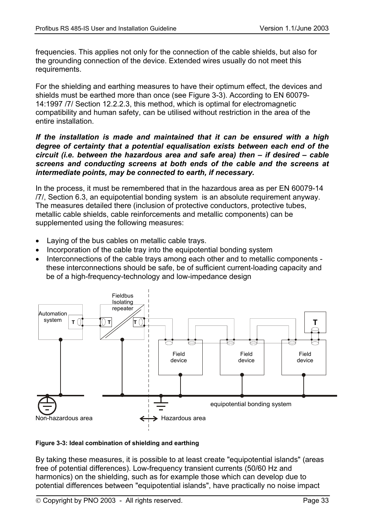frequencies. This applies not only for the connection of the cable shields, but also for the grounding connection of the device. Extended wires usually do not meet this requirements.

For the shielding and earthing measures to have their optimum effect, the devices and shields must be earthed more than once (see Figure 3-3). According to EN 60079- 14:1997 /7/ Section 12.2.2.3, this method, which is optimal for electromagnetic compatibility and human safety, can be utilised without restriction in the area of the entire installation.

#### *If the installation is made and maintained that it can be ensured with a high degree of certainty that a potential equalisation exists between each end of the circuit (i.e. between the hazardous area and safe area) then – if desired – cable screens and conducting screens at both ends of the cable and the screens at intermediate points, may be connected to earth, if necessary.*

In the process, it must be remembered that in the hazardous area as per EN 60079-14 /7/, Section 6.3, an equipotential bonding system is an absolute requirement anyway. The measures detailed there (inclusion of protective conductors, protective tubes, metallic cable shields, cable reinforcements and metallic components) can be supplemented using the following measures:

- Laying of the bus cables on metallic cable trays.
- Incorporation of the cable tray into the equipotential bonding system
- Interconnections of the cable trays among each other and to metallic components these interconnections should be safe, be of sufficient current-loading capacity and be of a high-frequency-technology and low-impedance design



#### **Figure 3-3: Ideal combination of shielding and earthing**

By taking these measures, it is possible to at least create "equipotential islands" (areas free of potential differences). Low-frequency transient currents (50/60 Hz and harmonics) on the shielding, such as for example those which can develop due to potential differences between "equipotential islands", have practically no noise impact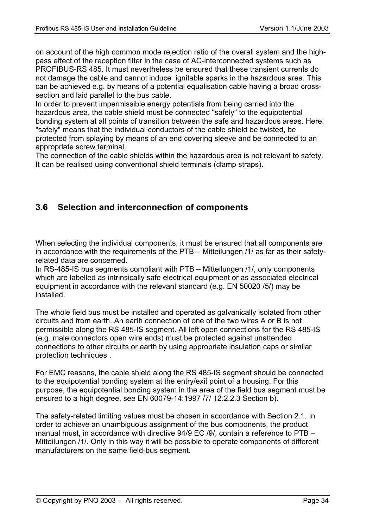<span id="page-33-0"></span>on account of the high common mode rejection ratio of the overall system and the highpass effect of the reception filter in the case of AC-interconnected systems such as PROFIBUS-RS 485. It must nevertheless be ensured that these transient currents do not damage the cable and cannot induce ignitable sparks in the hazardous area. This can be achieved e.g. by means of a potential equalisation cable having a broad crosssection and laid parallel to the bus cable.

In order to prevent impermissible energy potentials from being carried into the hazardous area, the cable shield must be connected "safely" to the equipotential bonding system at all points of transition between the safe and hazardous areas. Here, "safely" means that the individual conductors of the cable shield be twisted, be protected from splaying by means of an end covering sleeve and be connected to an appropriate screw terminal.

The connection of the cable shields within the hazardous area is not relevant to safety. It can be realised using conventional shield terminals (clamp straps).

#### **3.6 Selection and interconnection of components**

When selecting the individual components, it must be ensured that all components are in accordance with the requirements of the PTB – Mitteilungen /1/ as far as their safetyrelated data are concerned.

In RS-485-IS bus segments compliant with PTB – Mitteilungen /1/, only components which are labelled as intrinsically safe electrical equipment or as associated electrical equipment in accordance with the relevant standard (e.g. EN 50020 /5/) may be installed.

The whole field bus must be installed and operated as galvanically isolated from other circuits and from earth. An earth connection of one of the two wires A or B is not permissible along the RS 485-IS segment. All left open connections for the RS 485-IS (e.g. male connectors open wire ends) must be protected against unattended connections to other circuits or earth by using appropriate insulation caps or similar protection techniques .

For EMC reasons, the cable shield along the RS 485-IS segment should be connected to the equipotential bonding system at the entry/exit point of a housing. For this purpose, the equipotential bonding system in the area of the field bus segment must be ensured to a high degree, see EN 60079-14:1997 /7/ 12.2.2.3 Section b).

The safety-related limiting values must be chosen in accordance with Section 2.1. In order to achieve an unambiguous assignment of the bus components, the product manual must, in accordance with directive 94/9 EC /9/, contain a reference to PTB – Mitteilungen /1/. Only in this way it will be possible to operate components of different manufacturers on the same field-bus segment.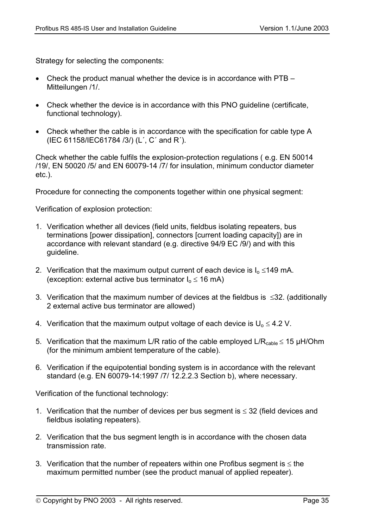Strategy for selecting the components:

- Check the product manual whether the device is in accordance with PTB Mitteilungen /1/.
- Check whether the device is in accordance with this PNO guideline (certificate, functional technology).
- Check whether the cable is in accordance with the specification for cable type A (IEC 61158/IEC61784 /3/) (L´, C´ and R´).

Check whether the cable fulfils the explosion-protection regulations ( e.g. EN 50014 /19/, EN 50020 /5/ and EN 60079-14 /7/ for insulation, minimum conductor diameter etc.).

Procedure for connecting the components together within one physical segment:

Verification of explosion protection:

- 1. Verification whether all devices (field units, fieldbus isolating repeaters, bus terminations [power dissipation], connectors [current loading capacity]) are in accordance with relevant standard (e.g. directive 94/9 EC /9/) and with this guideline.
- 2. Verification that the maximum output current of each device is  $I_0 \le 149$  mA. (exception: external active bus terminator  $I_0 \leq 16$  mA)
- 3. Verification that the maximum number of devices at the fieldbus is ≤32. (additionally 2 external active bus terminator are allowed)
- 4. Verification that the maximum output voltage of each device is  $U_0 \leq 4.2$  V.
- 5. Verification that the maximum L/R ratio of the cable employed L/R<sub>cable</sub>  $\leq$  15 µH/Ohm (for the minimum ambient temperature of the cable).
- 6. Verification if the equipotential bonding system is in accordance with the relevant standard (e.g. EN 60079-14:1997 /7/ 12.2.2.3 Section b), where necessary.

Verification of the functional technology:

- 1. Verification that the number of devices per bus segment is  $\leq$  32 (field devices and fieldbus isolating repeaters).
- 2. Verification that the bus segment length is in accordance with the chosen data transmission rate.
- 3. Verification that the number of repeaters within one Profibus segment is  $\leq$  the maximum permitted number (see the product manual of applied repeater).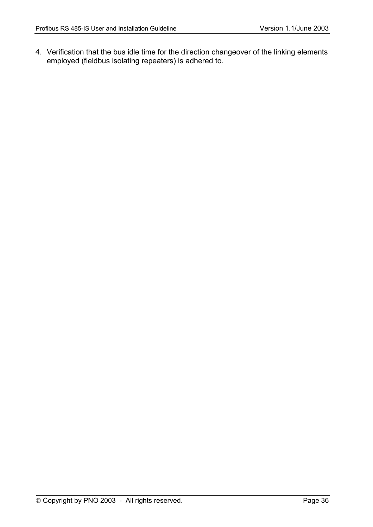4. Verification that the bus idle time for the direction changeover of the linking elements employed (fieldbus isolating repeaters) is adhered to.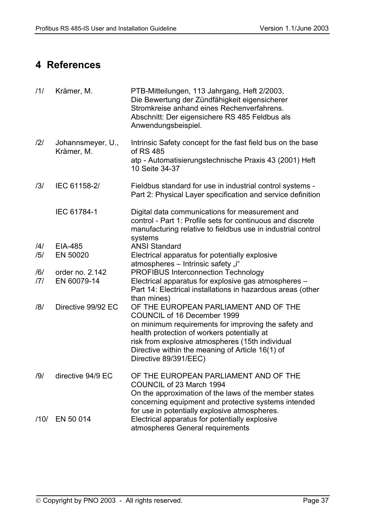## <span id="page-36-0"></span>**4 References**

| 11/        | Krämer, M.                      | PTB-Mitteilungen, 113 Jahrgang, Heft 2/2003,<br>Die Bewertung der Zündfähigkeit eigensicherer<br>Stromkreise anhand eines Rechenverfahrens.<br>Abschnitt: Der eigensichere RS 485 Feldbus als<br>Anwendungsbeispiel.                                                                                                |
|------------|---------------------------------|---------------------------------------------------------------------------------------------------------------------------------------------------------------------------------------------------------------------------------------------------------------------------------------------------------------------|
| 2          | Johannsmeyer, U.,<br>Krämer, M. | Intrinsic Safety concept for the fast field bus on the base<br>of RS 485<br>atp - Automatisierungstechnische Praxis 43 (2001) Heft<br>10 Seite 34-37                                                                                                                                                                |
| /3/        | IEC 61158-2/                    | Fieldbus standard for use in industrial control systems -<br>Part 2: Physical Layer specification and service definition                                                                                                                                                                                            |
|            | IEC 61784-1                     | Digital data communications for measurement and<br>control - Part 1: Profile sets for continuous and discrete<br>manufacturing relative to fieldbus use in industrial control<br>systems                                                                                                                            |
| /4/<br>/5/ | EIA-485<br>EN 50020             | <b>ANSI Standard</b><br>Electrical apparatus for potentially explosive<br>atmospheres - Intrinsic safety "i"                                                                                                                                                                                                        |
| /6/<br> 7  | order no. 2.142<br>EN 60079-14  | <b>PROFIBUS Interconnection Technology</b><br>Electrical apparatus for explosive gas atmospheres -<br>Part 14: Electrical installations in hazardous areas (other<br>than mines)                                                                                                                                    |
| /8/        | Directive 99/92 EC              | OF THE EUROPEAN PARLIAMENT AND OF THE<br><b>COUNCIL of 16 December 1999</b><br>on minimum requirements for improving the safety and<br>health protection of workers potentially at<br>risk from explosive atmospheres (15th individual<br>Directive within the meaning of Article 16(1) of<br>Directive 89/391/EEC) |
| /9/        | directive 94/9 EC               | OF THE EUROPEAN PARLIAMENT AND OF THE<br>COUNCIL of 23 March 1994<br>On the approximation of the laws of the member states<br>concerning equipment and protective systems intended                                                                                                                                  |
| /10/       | EN 50 014                       | for use in potentially explosive atmospheres.<br>Electrical apparatus for potentially explosive<br>atmospheres General requirements                                                                                                                                                                                 |